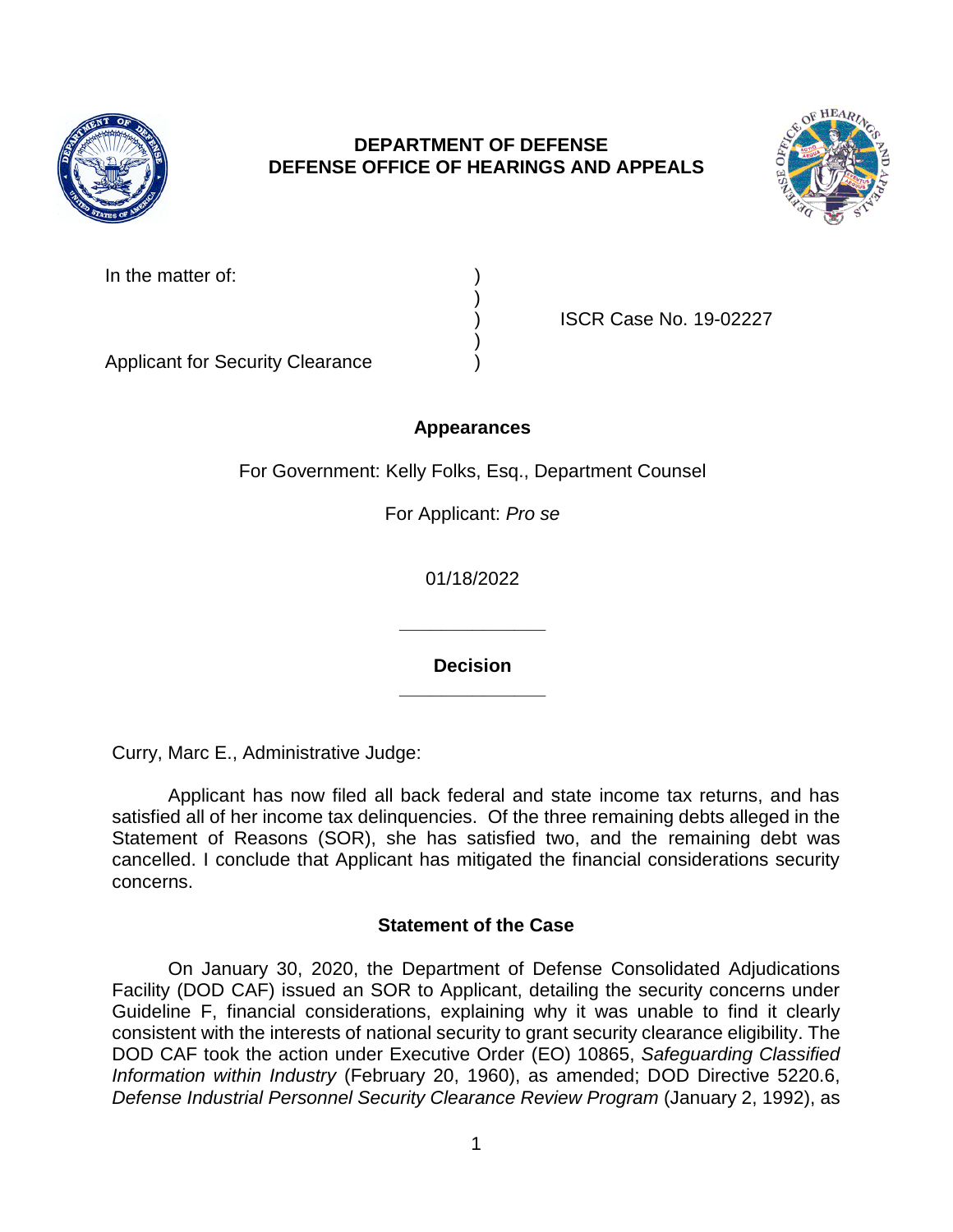

# **DEPARTMENT OF DEFENSE DEFENSE OFFICE OF HEARINGS AND APPEALS**



| In the matter of:                       |  |
|-----------------------------------------|--|
|                                         |  |
|                                         |  |
|                                         |  |
| <b>Applicant for Security Clearance</b> |  |

) ISCR Case No. 19-02227

# **Appearances**

For Government: Kelly Folks, Esq., Department Counsel

For Applicant: *Pro se* 

01/18/2022

**\_\_\_\_\_\_\_\_\_\_\_\_\_\_ Decision** 

**\_\_\_\_\_\_\_\_\_\_\_\_\_\_** 

Curry, Marc E., Administrative Judge:

 Applicant has now filed all back federal and state income tax returns, and has satisfied all of her income tax delinquencies. Of the three remaining debts alleged in the Statement of Reasons (SOR), she has satisfied two, and the remaining debt was cancelled. I conclude that Applicant has mitigated the financial considerations security concerns.

## **Statement of the Case**

 Facility (DOD CAF) issued an SOR to Applicant, detailing the security concerns under Guideline F, financial considerations, explaining why it was unable to find it clearly consistent with the interests of national security to grant security clearance eligibility. The DOD CAF took the action under Executive Order (EO) 10865, *Safeguarding Classified*  Defense Industrial Personnel Security Clearance Review Program (January 2, 1992), as On January 30, 2020, the Department of Defense Consolidated Adjudications *Information within Industry* (February 20, 1960), as amended; DOD Directive 5220.6,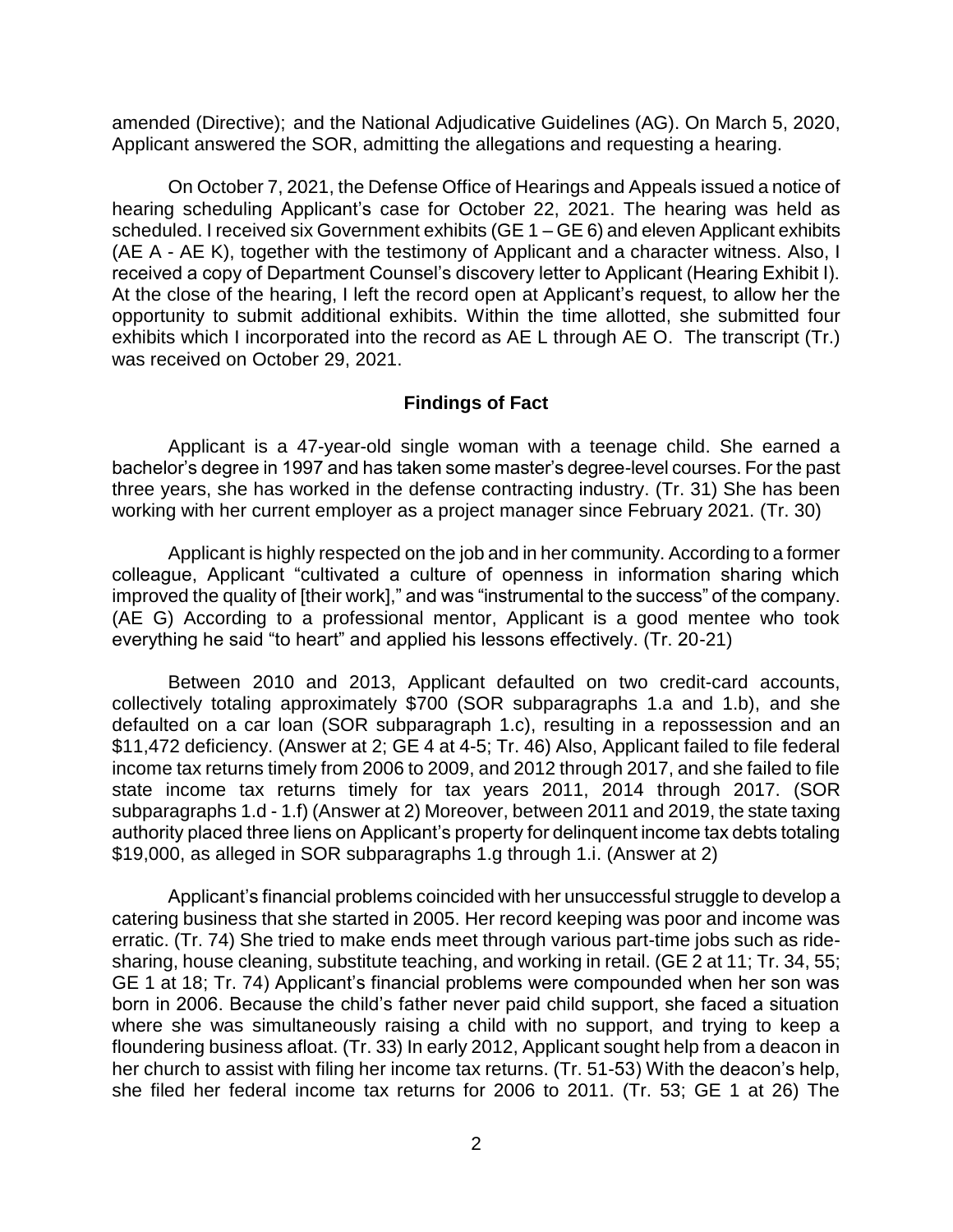amended (Directive); and the National Adjudicative Guidelines (AG). On March 5, 2020, Applicant answered the SOR, admitting the allegations and requesting a hearing.

 On October 7, 2021, the Defense Office of Hearings and Appeals issued a notice of hearing scheduling Applicant's case for October 22, 2021. The hearing was held as scheduled. I received six Government exhibits (GE 1 – GE 6) and eleven Applicant exhibits (AE A - AE K), together with the testimony of Applicant and a character witness. Also, I received a copy of Department Counsel's discovery letter to Applicant (Hearing Exhibit I). At the close of the hearing, I left the record open at Applicant's request, to allow her the opportunity to submit additional exhibits. Within the time allotted, she submitted four exhibits which I incorporated into the record as AE L through AE O. The transcript (Tr.) was received on October 29, 2021.

#### **Findings of Fact**

 Applicant is a 47-year-old single woman with a teenage child. She earned a bachelor's degree in 1997 and has taken some master's degree-level courses. For the past three years, she has worked in the defense contracting industry. (Tr. 31) She has been working with her current employer as a project manager since February 2021. (Tr. 30)

 Applicant is highly respected on the job and in her community. According to a former colleague, Applicant "cultivated a culture of openness in information sharing which improved the quality of [their work]," and was "instrumental to the success" of the company. (AE G) According to a professional mentor, Applicant is a good mentee who took everything he said "to heart" and applied his lessons effectively. (Tr. 20-21)

 Between 2010 and 2013, Applicant defaulted on two credit-card accounts, collectively totaling approximately \$700 (SOR subparagraphs 1.a and 1.b), and she defaulted on a car loan (SOR subparagraph 1.c), resulting in a repossession and an \$11,472 deficiency. (Answer at 2; GE 4 at 4-5; Tr. 46) Also, Applicant failed to file federal income tax returns timely from 2006 to 2009, and 2012 through 2017, and she failed to file state income tax returns timely for tax years 2011, 2014 through 2017. (SOR subparagraphs 1.d - 1.f) (Answer at 2) Moreover, between 2011 and 2019, the state taxing authority placed three liens on Applicant's property for delinquent income tax debts totaling \$19,000, as alleged in SOR subparagraphs 1.g through 1.i. (Answer at 2)

 Applicant's financial problems coincided with her unsuccessful struggle to develop a catering business that she started in 2005. Her record keeping was poor and income was erratic. (Tr. 74) She tried to make ends meet through various part-time jobs such as ride- sharing, house cleaning, substitute teaching, and working in retail. (GE 2 at 11; Tr. 34, 55; GE 1 at 18; Tr. 74) Applicant's financial problems were compounded when her son was born in 2006. Because the child's father never paid child support, she faced a situation where she was simultaneously raising a child with no support, and trying to keep a floundering business afloat. (Tr. 33) In early 2012, Applicant sought help from a deacon in her church to assist with filing her income tax returns. (Tr. 51-53) With the deacon's help, she filed her federal income tax returns for 2006 to 2011. (Tr. 53; GE 1 at 26) The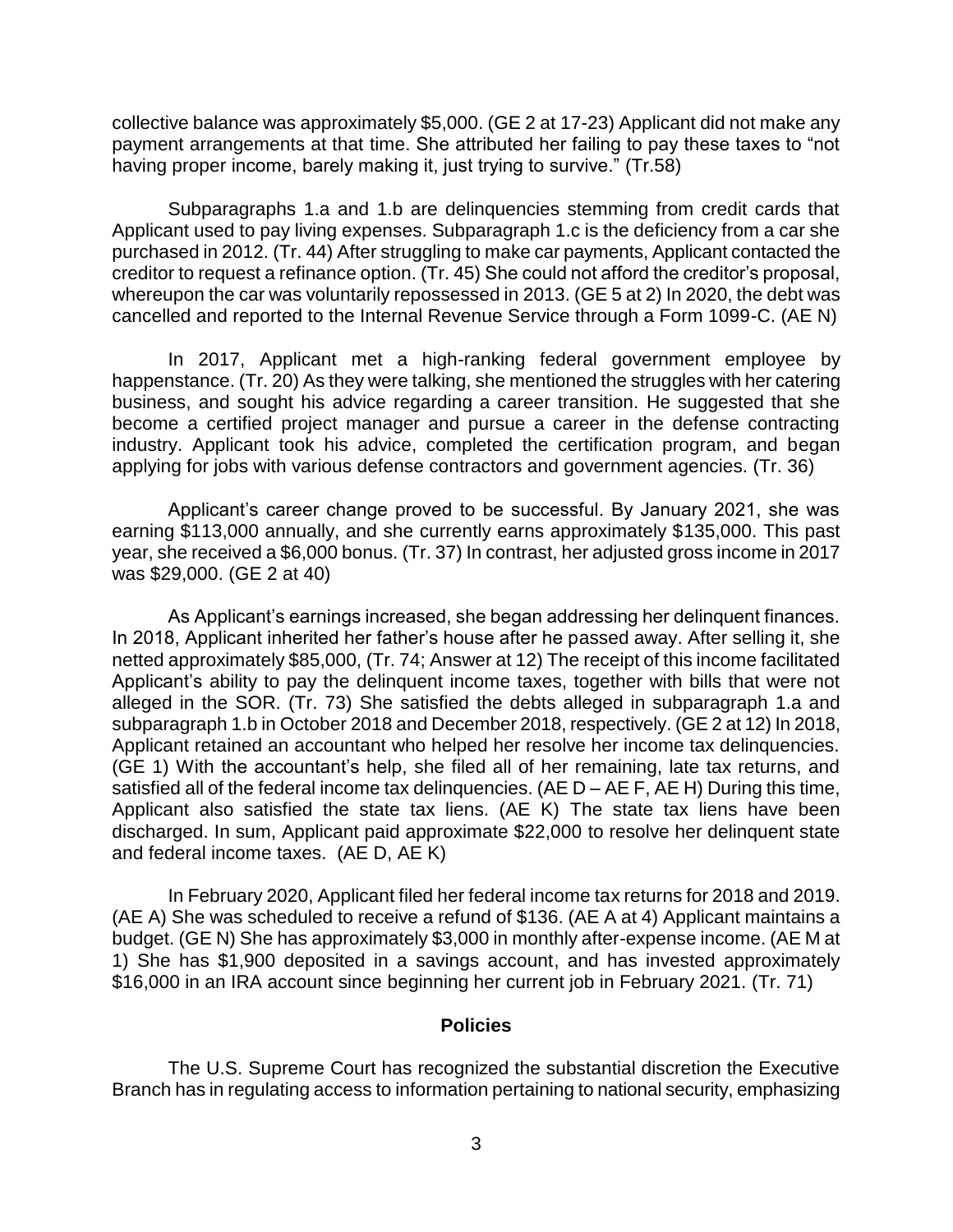collective balance was approximately \$5,000. (GE 2 at 17-23) Applicant did not make any payment arrangements at that time. She attributed her failing to pay these taxes to "not having proper income, barely making it, just trying to survive." (Tr.58)

 Subparagraphs 1.a and 1.b are delinquencies stemming from credit cards that Applicant used to pay living expenses. Subparagraph 1.c is the deficiency from a car she purchased in 2012. (Tr. 44) After struggling to make car payments, Applicant contacted the creditor to request a refinance option. (Tr. 45) She could not afford the creditor's proposal, whereupon the car was voluntarily repossessed in 2013. (GE 5 at 2) In 2020, the debt was cancelled and reported to the Internal Revenue Service through a Form 1099-C. (AE N)

 happenstance. (Tr. 20) As they were talking, she mentioned the struggles with her catering business, and sought his advice regarding a career transition. He suggested that she become a certified project manager and pursue a career in the defense contracting industry. Applicant took his advice, completed the certification program, and began In 2017, Applicant met a high-ranking federal government employee by applying for jobs with various defense contractors and government agencies. (Tr. 36)

 Applicant's career change proved to be successful. By January 2021, she was earning \$113,000 annually, and she currently earns approximately \$135,000. This past year, she received a \$6,000 bonus. (Tr. 37) In contrast, her adjusted gross income in 2017 was \$29,000. (GE 2 at 40)

 As Applicant's earnings increased, she began addressing her delinquent finances. In 2018, Applicant inherited her father's house after he passed away. After selling it, she netted approximately \$85,000, (Tr. 74; Answer at 12) The receipt of this income facilitated Applicant's ability to pay the delinquent income taxes, together with bills that were not alleged in the SOR. (Tr. 73) She satisfied the debts alleged in subparagraph 1.a and subparagraph 1.b in October 2018 and December 2018, respectively. (GE 2 at 12) In 2018, Applicant retained an accountant who helped her resolve her income tax delinquencies. (GE 1) With the accountant's help, she filed all of her remaining, late tax returns, and satisfied all of the federal income tax delinquencies. (AE D – AE F, AE H) During this time, Applicant also satisfied the state tax liens. (AE K) The state tax liens have been discharged. In sum, Applicant paid approximate \$22,000 to resolve her delinquent state and federal income taxes. (AE D, AE K)

In February 2020, Applicant filed her federal income tax returns for 2018 and 2019. (AE A) She was scheduled to receive a refund of \$136. (AE A at 4) Applicant maintains a budget. (GE N) She has approximately \$3,000 in monthly after-expense income. (AE M at 1) She has \$1,900 deposited in a savings account, and has invested approximately \$16,000 in an IRA account since beginning her current job in February 2021. (Tr. 71)

#### **Policies**

 The U.S. Supreme Court has recognized the substantial discretion the Executive Branch has in regulating access to information pertaining to national security, emphasizing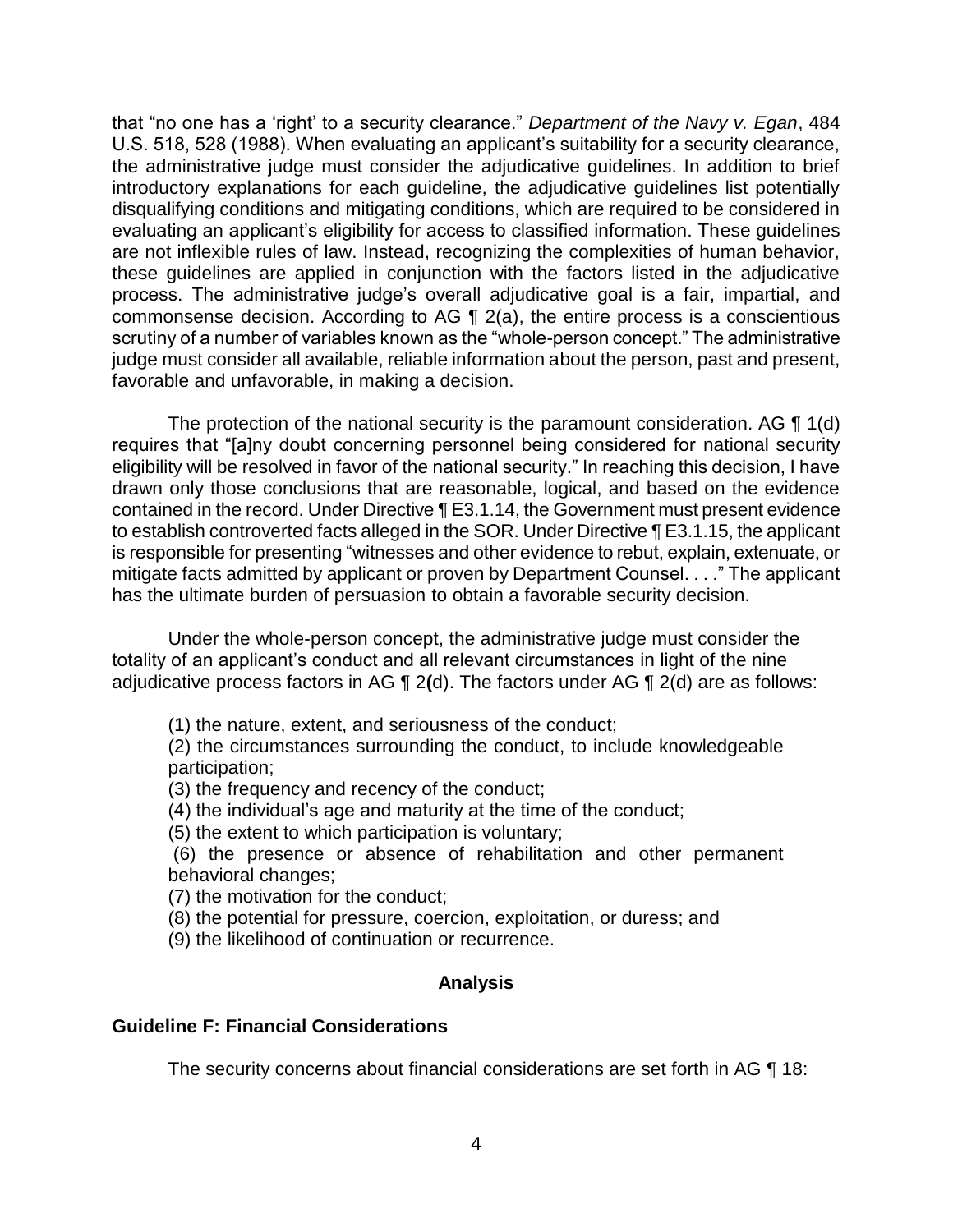that "no one has a 'right' to a security clearance." *Department of the Navy v. Egan*, 484 U.S. 518, 528 (1988). When evaluating an applicant's suitability for a security clearance, the administrative judge must consider the adjudicative guidelines. In addition to brief introductory explanations for each guideline, the adjudicative guidelines list potentially disqualifying conditions and mitigating conditions, which are required to be considered in evaluating an applicant's eligibility for access to classified information. These guidelines are not inflexible rules of law. Instead, recognizing the complexities of human behavior, these guidelines are applied in conjunction with the factors listed in the adjudicative process. The administrative judge's overall adjudicative goal is a fair, impartial, and commonsense decision. According to AG  $\P$  2(a), the entire process is a conscientious scrutiny of a number of variables known as the "whole-person concept." The administrative judge must consider all available, reliable information about the person, past and present, favorable and unfavorable, in making a decision.

The protection of the national security is the paramount consideration. AG  $\P$  1(d) eligibility will be resolved in favor of the national security." In reaching this decision, I have drawn only those conclusions that are reasonable, logical, and based on the evidence contained in the record. Under Directive ¶ E3.1.14, the Government must present evidence to establish controverted facts alleged in the SOR. Under Directive ¶ E3.1.15, the applicant is responsible for presenting "witnesses and other evidence to rebut, explain, extenuate, or mitigate facts admitted by applicant or proven by Department Counsel. . . ." The applicant requires that "[a]ny doubt concerning personnel being considered for national security has the ultimate burden of persuasion to obtain a favorable security decision.

Under the whole-person concept, the administrative judge must consider the totality of an applicant's conduct and all relevant circumstances in light of the nine adjudicative process factors in AG ¶ 2**(**d). The factors under AG ¶ 2(d) are as follows:

(1) the nature, extent, and seriousness of the conduct;

 (2) the circumstances surrounding the conduct, to include knowledgeable participation;

(3) the frequency and recency of the conduct;

(4) the individual's age and maturity at the time of the conduct;

(5) the extent to which participation is voluntary;

 (6) the presence or absence of rehabilitation and other permanent behavioral changes;

(7) the motivation for the conduct;

(8) the potential for pressure, coercion, exploitation, or duress; and

(9) the likelihood of continuation or recurrence.

## **Analysis**

## **Guideline F: Financial Considerations**

The security concerns about financial considerations are set forth in AG ¶ 18: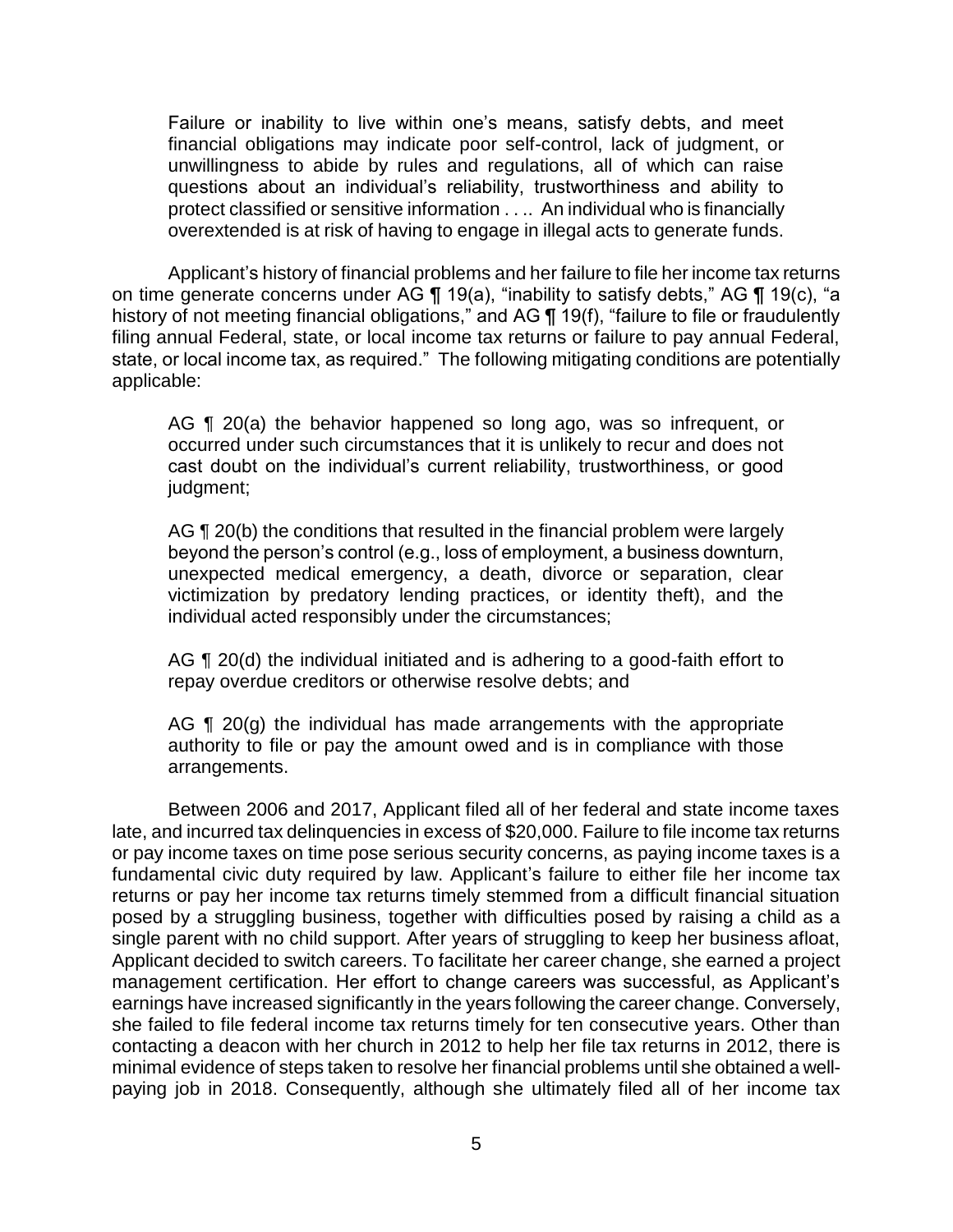Failure or inability to live within one's means, satisfy debts, and meet financial obligations may indicate poor self-control, lack of judgment, or unwillingness to abide by rules and regulations, all of which can raise questions about an individual's reliability, trustworthiness and ability to protect classified or sensitive information . . .. An individual who is financially overextended is at risk of having to engage in illegal acts to generate funds.

 Applicant's history of financial problems and her failure to file her income tax returns on time generate concerns under AG ¶ 19(a), "inability to satisfy debts," AG ¶ 19(c), "a history of not meeting financial obligations," and AG ¶ 19(f), "failure to file or fraudulently filing annual Federal, state, or local income tax returns or failure to pay annual Federal, state, or local income tax, as required." The following mitigating conditions are potentially applicable:

AG ¶ 20(a) the behavior happened so long ago, was so infrequent, or occurred under such circumstances that it is unlikely to recur and does not cast doubt on the individual's current reliability, trustworthiness, or good judgment;

AG ¶ 20(b) the conditions that resulted in the financial problem were largely beyond the person's control (e.g., loss of employment, a business downturn, unexpected medical emergency, a death, divorce or separation, clear victimization by predatory lending practices, or identity theft), and the individual acted responsibly under the circumstances;

AG ¶ 20(d) the individual initiated and is adhering to a good-faith effort to repay overdue creditors or otherwise resolve debts; and

AG  $\P$  20(g) the individual has made arrangements with the appropriate authority to file or pay the amount owed and is in compliance with those arrangements.

 Between 2006 and 2017, Applicant filed all of her federal and state income taxes late, and incurred tax delinquencies in excess of \$20,000. Failure to file income tax returns or pay income taxes on time pose serious security concerns, as paying income taxes is a fundamental civic duty required by law. Applicant's failure to either file her income tax returns or pay her income tax returns timely stemmed from a difficult financial situation posed by a struggling business, together with difficulties posed by raising a child as a single parent with no child support. After years of struggling to keep her business afloat, Applicant decided to switch careers. To facilitate her career change, she earned a project management certification. Her effort to change careers was successful, as Applicant's earnings have increased significantly in the years following the career change. Conversely, she failed to file federal income tax returns timely for ten consecutive years. Other than contacting a deacon with her church in 2012 to help her file tax returns in 2012, there is minimal evidence of steps taken to resolve her financial problems until she obtained a well-paying job in 2018. Consequently, although she ultimately filed all of her income tax